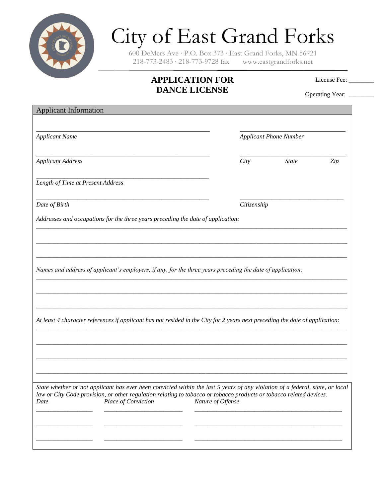

## City of East Grand Forks

600 DeMers Ave ∙ P.O. Box 373 ∙ East Grand Forks, MN 56721 218-773-2483 ∙ 218-773-9728 fax www.eastgrandforks.net

## **APPLICATION FOR DANCE LICENSE**

License Fee: \_\_\_\_\_\_

Operating Year: \_\_\_\_\_\_\_

| <b>Applicant Information</b>                                                                                                                       |                   |                               |              |     |
|----------------------------------------------------------------------------------------------------------------------------------------------------|-------------------|-------------------------------|--------------|-----|
| <b>Applicant Name</b>                                                                                                                              |                   | <b>Applicant Phone Number</b> |              |     |
| <b>Applicant Address</b>                                                                                                                           |                   | City                          | <b>State</b> | Zip |
| Length of Time at Present Address                                                                                                                  |                   |                               |              |     |
| Date of Birth                                                                                                                                      |                   | Citizenship                   |              |     |
| Addresses and occupations for the three years preceding the date of application:                                                                   |                   |                               |              |     |
|                                                                                                                                                    |                   |                               |              |     |
|                                                                                                                                                    |                   |                               |              |     |
| Names and address of applicant's employers, if any, for the three years preceding the date of application:                                         |                   |                               |              |     |
|                                                                                                                                                    |                   |                               |              |     |
|                                                                                                                                                    |                   |                               |              |     |
| At least 4 character references if applicant has not resided in the City for 2 years next preceding the date of application:                       |                   |                               |              |     |
|                                                                                                                                                    |                   |                               |              |     |
|                                                                                                                                                    |                   |                               |              |     |
|                                                                                                                                                    |                   |                               |              |     |
| State whether or not applicant has ever been convicted within the last 5 years of any violation of a federal, state, or local                      |                   |                               |              |     |
| law or City Code provision, or other regulation relating to tobacco or tobacco products or tobacco related devices.<br>Place of Conviction<br>Date | Nature of Offense |                               |              |     |
|                                                                                                                                                    |                   |                               |              |     |
|                                                                                                                                                    |                   |                               |              |     |
|                                                                                                                                                    |                   |                               |              |     |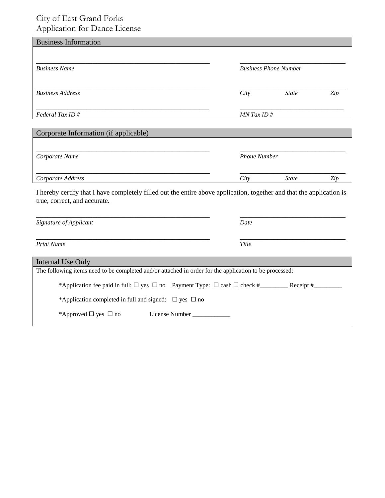## City of East Grand Forks Application for Dance License

| <b>Business Information</b>           |      |                              |     |
|---------------------------------------|------|------------------------------|-----|
| <b>Business Name</b>                  |      | <b>Business Phone Number</b> |     |
| <b>Business Address</b>               | City | <b>State</b>                 | Zip |
| Federal Tax ID#                       |      | $MN$ Tax ID #                |     |
| Corporate Information (if applicable) |      |                              |     |
| Corporate Name                        |      | <b>Phone Number</b>          |     |
| Corporate Address                     | City | <b>State</b>                 | Zip |

I hereby certify that I have completely filled out the entire above application, together and that the application is true, correct, and accurate.

| Signature of Applicant                                                                                 | Date      |  |  |  |  |
|--------------------------------------------------------------------------------------------------------|-----------|--|--|--|--|
| <b>Print Name</b>                                                                                      | Title     |  |  |  |  |
| Internal Use Only                                                                                      |           |  |  |  |  |
| The following items need to be completed and/or attached in order for the application to be processed: |           |  |  |  |  |
| *Application fee paid in full: $\Box$ yes $\Box$ no Payment Type: $\Box$ cash $\Box$ check #           | Receipt # |  |  |  |  |
| *Application completed in full and signed: $\Box$ yes $\Box$ no                                        |           |  |  |  |  |
| *Approved $\Box$ yes $\Box$ no<br>License Number                                                       |           |  |  |  |  |